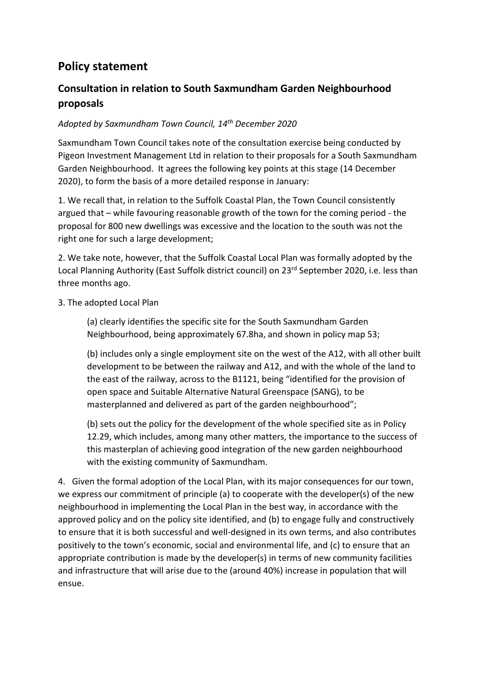# **Policy statement**

## **Consultation in relation to South Saxmundham Garden Neighbourhood proposals**

#### *Adopted by Saxmundham Town Council, 14th December 2020*

Saxmundham Town Council takes note of the consultation exercise being conducted by Pigeon Investment Management Ltd in relation to their proposals for a South Saxmundham Garden Neighbourhood. It agrees the following key points at this stage (14 December 2020), to form the basis of a more detailed response in January:

1. We recall that, in relation to the Suffolk Coastal Plan, the Town Council consistently argued that – while favouring reasonable growth of the town for the coming period - the proposal for 800 new dwellings was excessive and the location to the south was not the right one for such a large development;

2. We take note, however, that the Suffolk Coastal Local Plan was formally adopted by the Local Planning Authority (East Suffolk district council) on 23<sup>rd</sup> September 2020, i.e. less than three months ago.

3. The adopted Local Plan

(a) clearly identifies the specific site for the South Saxmundham Garden Neighbourhood, being approximately 67.8ha, and shown in policy map 53;

(b) includes only a single employment site on the west of the A12, with all other built development to be between the railway and A12, and with the whole of the land to the east of the railway, across to the B1121, being "identified for the provision of open space and Suitable Alternative Natural Greenspace (SANG), to be masterplanned and delivered as part of the garden neighbourhood";

(b) sets out the policy for the development of the whole specified site as in Policy 12.29, which includes, among many other matters, the importance to the success of this masterplan of achieving good integration of the new garden neighbourhood with the existing community of Saxmundham.

4. Given the formal adoption of the Local Plan, with its major consequences for our town, we express our commitment of principle (a) to cooperate with the developer(s) of the new neighbourhood in implementing the Local Plan in the best way, in accordance with the approved policy and on the policy site identified, and (b) to engage fully and constructively to ensure that it is both successful and well-designed in its own terms, and also contributes positively to the town's economic, social and environmental life, and (c) to ensure that an appropriate contribution is made by the developer(s) in terms of new community facilities and infrastructure that will arise due to the (around 40%) increase in population that will ensue.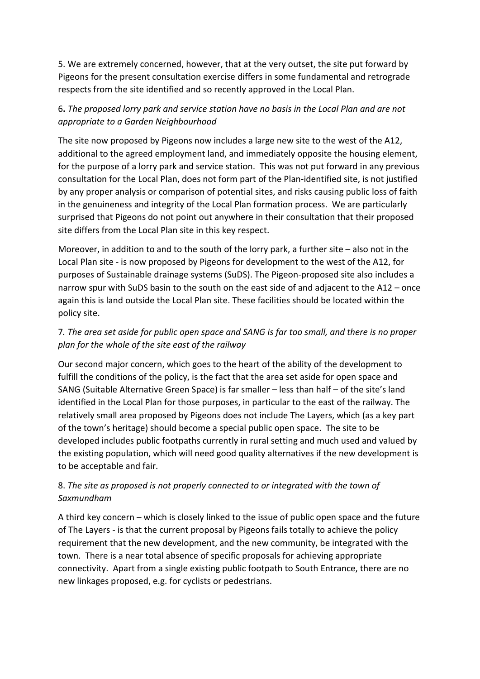5. We are extremely concerned, however, that at the very outset, the site put forward by Pigeons for the present consultation exercise differs in some fundamental and retrograde respects from the site identified and so recently approved in the Local Plan.

#### 6**.** *The proposed lorry park and service station have no basis in the Local Plan and are not appropriate to a Garden Neighbourhood*

The site now proposed by Pigeons now includes a large new site to the west of the A12, additional to the agreed employment land, and immediately opposite the housing element, for the purpose of a lorry park and service station. This was not put forward in any previous consultation for the Local Plan, does not form part of the Plan-identified site, is not justified by any proper analysis or comparison of potential sites, and risks causing public loss of faith in the genuineness and integrity of the Local Plan formation process. We are particularly surprised that Pigeons do not point out anywhere in their consultation that their proposed site differs from the Local Plan site in this key respect.

Moreover, in addition to and to the south of the lorry park, a further site – also not in the Local Plan site - is now proposed by Pigeons for development to the west of the A12, for purposes of Sustainable drainage systems (SuDS). The Pigeon-proposed site also includes a narrow spur with SuDS basin to the south on the east side of and adjacent to the A12 – once again this is land outside the Local Plan site. These facilities should be located within the policy site.

### 7*. The area set aside for public open space and SANG is far too small, and there is no proper plan for the whole of the site east of the railway*

Our second major concern, which goes to the heart of the ability of the development to fulfill the conditions of the policy, is the fact that the area set aside for open space and SANG (Suitable Alternative Green Space) is far smaller – less than half – of the site's land identified in the Local Plan for those purposes, in particular to the east of the railway. The relatively small area proposed by Pigeons does not include The Layers, which (as a key part of the town's heritage) should become a special public open space. The site to be developed includes public footpaths currently in rural setting and much used and valued by the existing population, which will need good quality alternatives if the new development is to be acceptable and fair.

### 8. *The site as proposed is not properly connected to or integrated with the town of Saxmundham*

A third key concern – which is closely linked to the issue of public open space and the future of The Layers - is that the current proposal by Pigeons fails totally to achieve the policy requirement that the new development, and the new community, be integrated with the town. There is a near total absence of specific proposals for achieving appropriate connectivity. Apart from a single existing public footpath to South Entrance, there are no new linkages proposed, e.g. for cyclists or pedestrians.